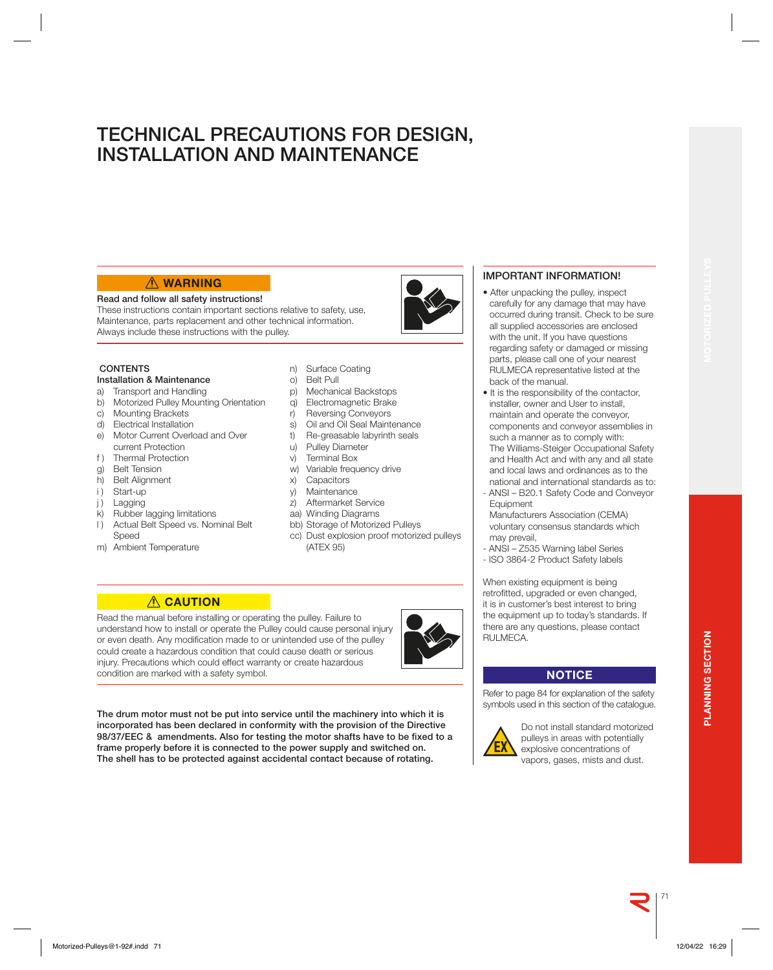### 71

**PLANNING SECTION**

PLANNING SECTION

# **WARNING**

### **Read and follow all safety instructions!**

These instructions contain important sections relative to safety, use, Maintenance, parts replacement and other technical information. Always include these instructions with the pulley.

### **CONTENTS**

### **Installation & Maintenance**

- a) Transport and Handling<br>b) Motorized Pulley Mounti
- **Motorized Pulley Mounting Orientation**
- c) Mounting Brackets
- d) Electrical Installation
- e) Motor Current Overload and Over current Protection
- f ) Thermal Protection
- g) Belt Tension
- h) Belt Alignment
- i) Start-up
- j ) Lagging
- k) Rubber lagging limitations
- l ) Actual Belt Speed vs. Nominal Belt Speed
- m) Ambient Temperature

### n) Surface Coating

o) Belt Pull

**TECHNICAL PRECAUTIONS FOR DESIGN,** 

**INSTALLATION AND MAINTENANCE**

- p) Mechanical Backstops<br>q) Electromagnetic Brake
- Electromagnetic Brake
- r) Reversing Conveyors
- s) Oil and Oil Seal Maintenance
- t) Re-greasable labyrinth seals
- u) Pulley Diameter
- v) Terminal Box
- w) Variable frequency drive
- x) Capacitors
- y) Maintenance
- z) Aftermarket Service
- aa) Winding Diagrams
- bb) Storage of Motorized Pulleys
- cc) Dust explosion proof motorized pulleys (ATEX 95)

### **ACAUTION**

Read the manual before installing or operating the pulley. Failure to understand how to install or operate the Pulley could cause personal injury or even death. Any modification made to or unintended use of the pulley could create a hazardous condition that could cause death or serious injury. Precautions which could effect warranty or create hazardous condition are marked with a safety symbol.

**The drum motor must not be put into service until the machinery into which it is incorporated has been declared in conformity with the provision of the Directive**  98/37/EEC & amendments. Also for testing the motor shafts have to be fixed to a **frame properly before it is connected to the power supply and switched on. The shell has to be protected against accidental contact because of rotating.**

### **IMPORTANT INFORMATION!**

- After unpacking the pulley, inspect carefully for any damage that may have occurred during transit. Check to be sure all supplied accessories are enclosed with the unit. If you have questions regarding safety or damaged or missing parts, please call one of your nearest RULMECA representative listed at the back of the manual.
- It is the responsibility of the contactor, installer, owner and User to install, maintain and operate the conveyor, components and conveyor assemblies in such a manner as to comply with: The Williams-Steiger Occupational Safety and Health Act and with any and all state and local laws and ordinances as to the national and international standards as to:
- ANSI B20.1 Safety Code and Conveyor **Equipment**
- Manufacturers Association (CEMA) voluntary consensus standards which may prevail,
- ANSI Z535 Warning label Series - ISO 3864-2 Product Safety labels

When existing equipment is being retrofitted, upgraded or even changed, it is in customer's best interest to bring the equipment up to today's standards. If there are any questions, please contact RULMECA.

### **NOTICE**

Refer to page 84 for explanation of the safety symbols used in this section of the catalogue.



Do not install standard motorized pulleys in areas with potentially explosive concentrations of vapors, gases, mists and dust.

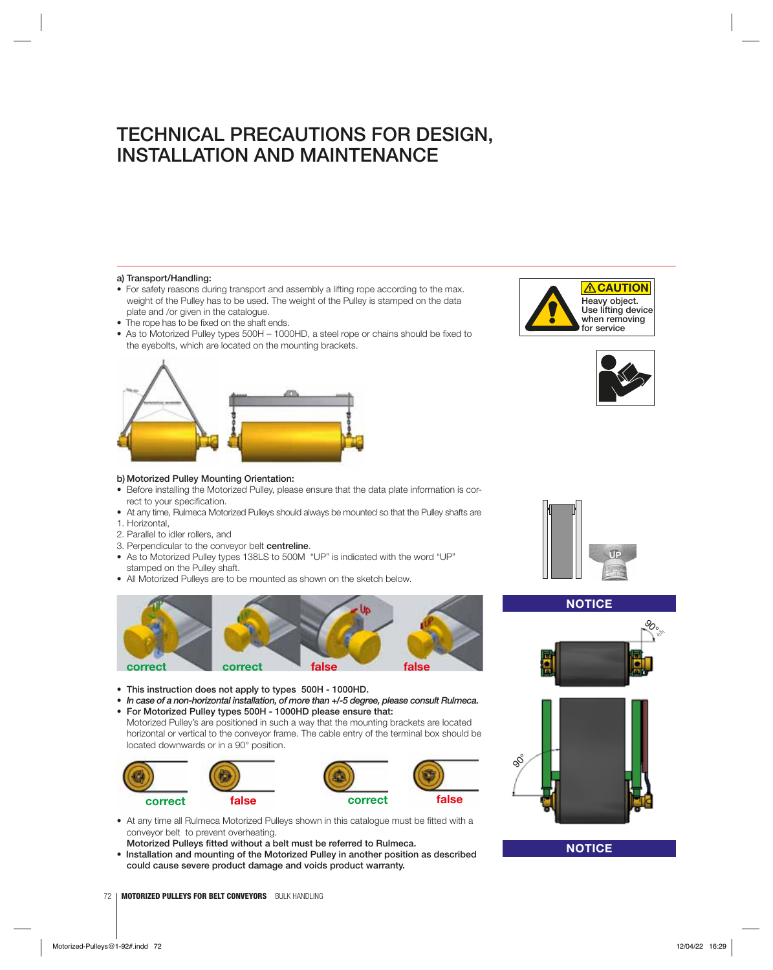### **a) Transport/Handling:**

- For safety reasons during transport and assembly a lifting rope according to the max. weight of the Pulley has to be used. The weight of the Pulley is stamped on the data plate and /or given in the catalogue.
- The rope has to be fixed on the shaft ends.
- As to Motorized Pulley types 500H 1000HD, a steel rope or chains should be fixed to the eyebolts, which are located on the mounting brackets.





- Before installing the Motorized Pulley, please ensure that the data plate information is correct to your specification.
- At any time, Rulmeca Motorized Pulleys should always be mounted so that the Pulley shafts are 1. Horizontal,
- 2. Parallel to idler rollers, and
- 3. Perpendicular to the conveyor belt **centreline**.
- As to Motorized Pulley types 138LS to 500M "UP" is indicated with the word "UP" stamped on the Pulley shaft.
- All Motorized Pulleys are to be mounted as shown on the sketch below.



- **This instruction does not apply to types 500H 1000HD.**
- *In case of a non-horizontal installation, of more than +/-5 degree, please consult Rulmeca.* **• For Motorized Pulley types 500H - 1000HD please ensure that:**
- Motorized Pulley's are positioned in such a way that the mounting brackets are located horizontal or vertical to the conveyor frame. The cable entry of the terminal box should be located downwards or in a 90° position.



- At any time all Rulmeca Motorized Pulleys shown in this catalogue must be fitted with a conveyor belt to prevent overheating.
- **Motorized Pulleys fitted without a belt must be referred to Rulmeca.**
- **Installation and mounting of the Motorized Pulley in another position as described could cause severe product damage and voids product warranty.**









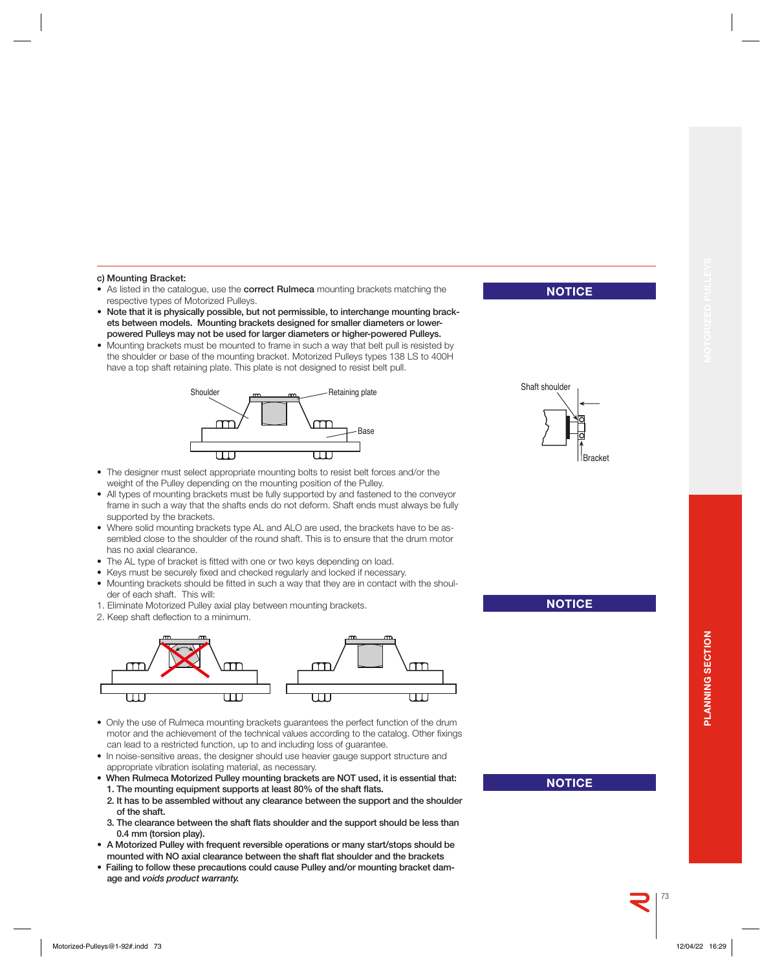#### **c) Mounting Bracket:**

- As listed in the catalogue, use the **correct Rulmeca** mounting brackets matching the respective types of Motorized Pulleys.
- **Note that it is physically possible, but not permissible, to interchange mounting brackets between models. Mounting brackets designed for smaller diameters or lowerpowered Pulleys may not be used for larger diameters or higher-powered Pulleys.**
- Mounting brackets must be mounted to frame in such a way that belt pull is resisted by the shoulder or base of the mounting bracket. Motorized Pulleys types 138 LS to 400H have a top shaft retaining plate. This plate is not designed to resist belt pull.



- The designer must select appropriate mounting bolts to resist belt forces and/or the weight of the Pulley depending on the mounting position of the Pulley.
- All types of mounting brackets must be fully supported by and fastened to the conveyor frame in such a way that the shafts ends do not deform. Shaft ends must always be fully supported by the brackets.
- Where solid mounting brackets type AL and ALO are used, the brackets have to be assembled close to the shoulder of the round shaft. This is to ensure that the drum motor has no axial clearance.
- The AL type of bracket is fitted with one or two keys depending on load.
- Keys must be securely fixed and checked regularly and locked if necessary.
- Mounting brackets should be fitted in such a way that they are in contact with the shoulder of each shaft. This will:
- 1. Eliminate Motorized Pulley axial play between mounting brackets.
- 2. Keep shaft deflection to a minimum.



- Only the use of Rulmeca mounting brackets guarantees the perfect function of the drum motor and the achievement of the technical values according to the catalog. Other fixings can lead to a restricted function, up to and including loss of guarantee.
- In noise-sensitive areas, the designer should use heavier gauge support structure and appropriate vibration isolating material, as necessary.
- **When Rulmeca Motorized Pulley mounting brackets are NOT used, it is essential that:**  1. The mounting equipment supports at least 80% of the shaft flats.
	- **2. It has to be assembled without any clearance between the support and the shoulder of the shaft.**
- 3. The clearance between the shaft flats shoulder and the support should be less than **0.4 mm (torsion play).**
- **A Motorized Pulley with frequent reversible operations or many start/stops should be**  mounted with NO axial clearance between the shaft flat shoulder and the brackets
- **Failing to follow these precautions could cause Pulley and/or mounting bracket damage and** *voids product warranty.*

Shaft shoulder **Bracket** 

**NOTICE**

**NOTICE**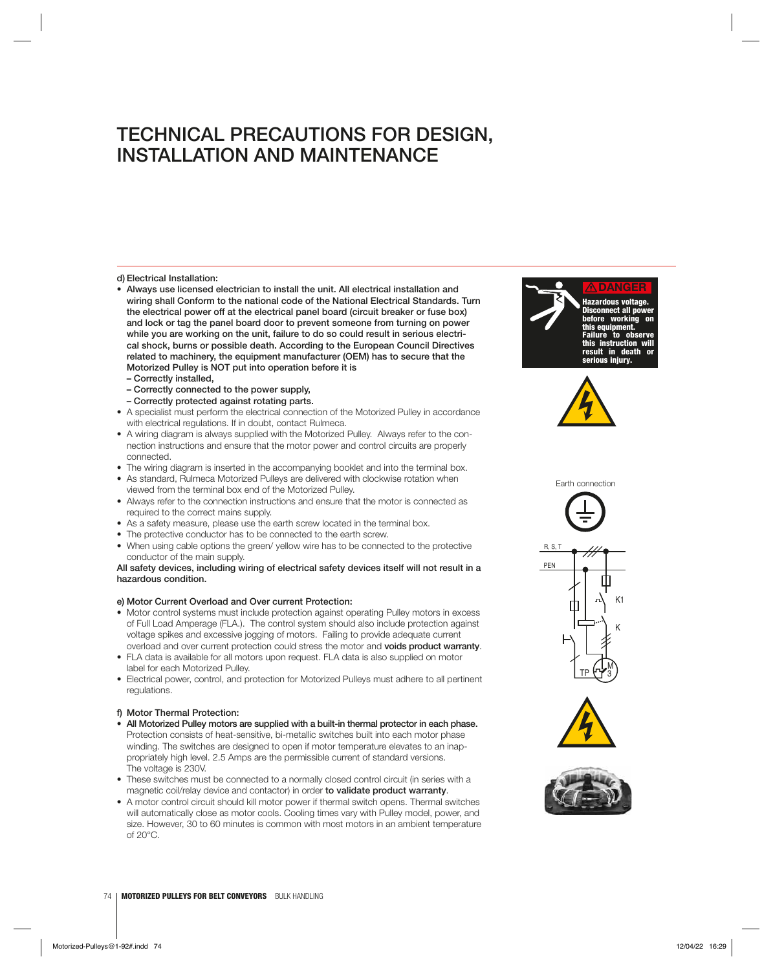### **d) Electrical Installation:**

- **Always use licensed electrician to install the unit. All electrical installation and wiring shall Conform to the national code of the National Electrical Standards. Turn the electrical power off at the electrical panel board (circuit breaker or fuse box) and lock or tag the panel board door to prevent someone from turning on power while you are working on the unit, failure to do so could result in serious electrical shock, burns or possible death. According to the European Council Directives related to machinery, the equipment manufacturer (OEM) has to secure that the Motorized Pulley is NOT put into operation before it is** 
	- **Correctly installed,**
	- **Correctly connected to the power supply,**
- **Correctly protected against rotating parts.**
- A specialist must perform the electrical connection of the Motorized Pulley in accordance with electrical regulations. If in doubt, contact Rulmeca.
- A wiring diagram is always supplied with the Motorized Pulley. Always refer to the connection instructions and ensure that the motor power and control circuits are properly connected.
- The wiring diagram is inserted in the accompanying booklet and into the terminal box.
- As standard, Rulmeca Motorized Pulleys are delivered with clockwise rotation when viewed from the terminal box end of the Motorized Pulley.
- Always refer to the connection instructions and ensure that the motor is connected as required to the correct mains supply.
- As a safety measure, please use the earth screw located in the terminal box.
- The protective conductor has to be connected to the earth screw.
- When using cable options the green/ yellow wire has to be connected to the protective conductor of the main supply.

### **All safety devices, including wiring of electrical safety devices itself will not result in a hazardous condition.**

### **e) Motor Current Overload and Over current Protection:**

- Motor control systems must include protection against operating Pulley motors in excess of Full Load Amperage (FLA.). The control system should also include protection against voltage spikes and excessive jogging of motors. Failing to provide adequate current overload and over current protection could stress the motor and **voids product warranty**.
- FLA data is available for all motors upon request. FLA data is also supplied on motor label for each Motorized Pulley.
- Electrical power, control, and protection for Motorized Pulleys must adhere to all pertinent regulations.

### **f) Motor Thermal Protection:**

- **All Motorized Pulley motors are supplied with a built-in thermal protector in each phase.**  Protection consists of heat-sensitive, bi-metallic switches built into each motor phase winding. The switches are designed to open if motor temperature elevates to an inappropriately high level. 2.5 Amps are the permissible current of standard versions. The voltage is 230V.
- These switches must be connected to a normally closed control circuit (in series with a magnetic coil/relay device and contactor) in order **to validate product warranty**.
- A motor control circuit should kill motor power if thermal switch opens. Thermal switches will automatically close as motor cools. Cooling times vary with Pulley model, power, and size. However, 30 to 60 minutes is common with most motors in an ambient temperature of 20°C.





Earth connection







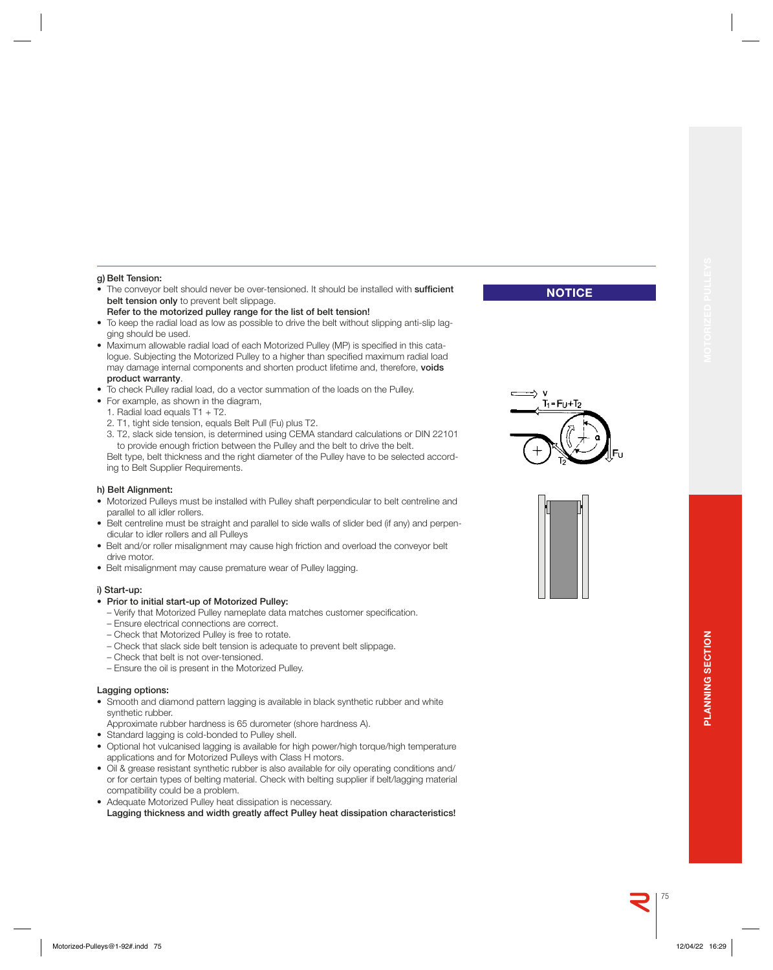### **g) Belt Tension:**

- The conveyor belt should never be over-tensioned. It should be installed with **sufficient belt tension only** to prevent belt slippage.
- **Refer to the motorized pulley range for the list of belt tension!**
- To keep the radial load as low as possible to drive the belt without slipping anti-slip lagging should be used.
- Maximum allowable radial load of each Motorized Pulley (MP) is specified in this catalogue. Subjecting the Motorized Pulley to a higher than specified maximum radial load may damage internal components and shorten product lifetime and, therefore, **voids product warranty**.
- To check Pulley radial load, do a vector summation of the loads on the Pulley.
- For example, as shown in the diagram,
	- 1. Radial load equals T1 + T2.
	- 2. T1, tight side tension, equals Belt Pull (Fu) plus T2.
	- 3. T2, slack side tension, is determined using CEMA standard calculations or DIN 22101 to provide enough friction between the Pulley and the belt to drive the belt.

 Belt type, belt thickness and the right diameter of the Pulley have to be selected according to Belt Supplier Requirements.

#### **h) Belt Alignment:**

- Motorized Pulleys must be installed with Pulley shaft perpendicular to belt centreline and parallel to all idler rollers.
- Belt centreline must be straight and parallel to side walls of slider bed (if any) and perpendicular to idler rollers and all Pulleys
- Belt and/or roller misalignment may cause high friction and overload the conveyor belt drive motor.
- Belt misalignment may cause premature wear of Pulley lagging.

### **i) Start-up:**

### **• Prior to initial start-up of Motorized Pulley:**

- Verify that Motorized Pulley nameplate data matches customer specification.
- Ensure electrical connections are correct.
- Check that Motorized Pulley is free to rotate.
- Check that slack side belt tension is adequate to prevent belt slippage.
- Check that belt is not over-tensioned.
- Ensure the oil is present in the Motorized Pulley.

### **Lagging options:**

- Smooth and diamond pattern lagging is available in black synthetic rubber and white synthetic rubber.
- Approximate rubber hardness is 65 durometer (shore hardness A).
- Standard lagging is cold-bonded to Pulley shell.
- Optional hot vulcanised lagging is available for high power/high torque/high temperature applications and for Motorized Pulleys with Class H motors.
- Oil & grease resistant synthetic rubber is also available for oily operating conditions and/ or for certain types of belting material. Check with belting supplier if belt/lagging material compatibility could be a problem.
- Adequate Motorized Pulley heat dissipation is necessary.  **Lagging thickness and width greatly affect Pulley heat dissipation characteristics!**



**NOTICE**



75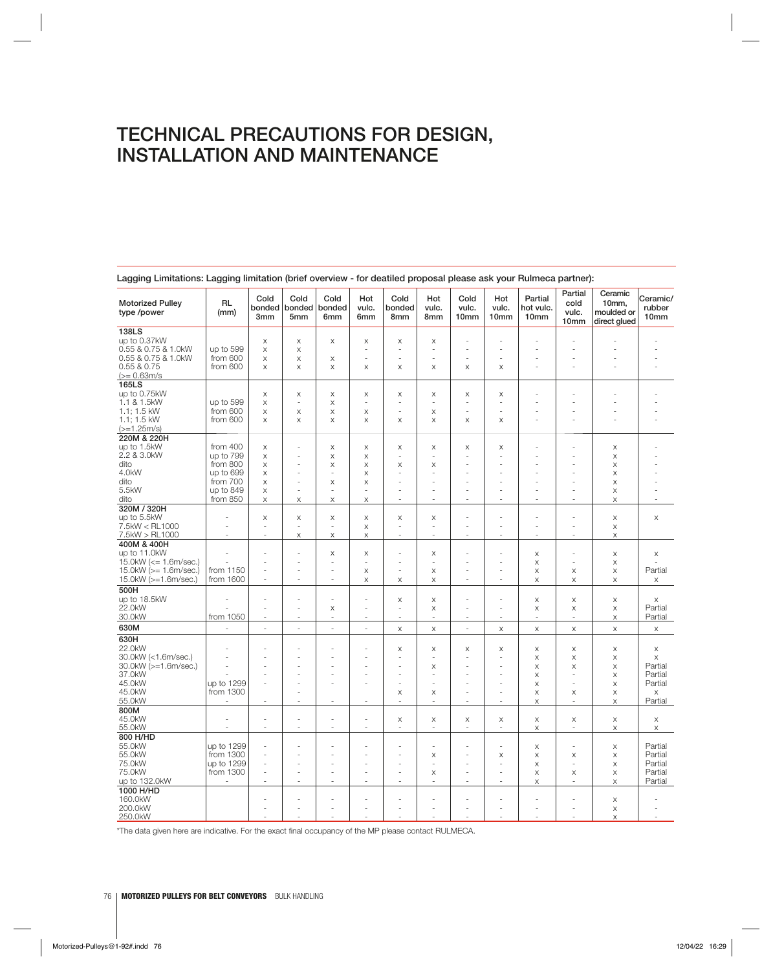| <b>Motorized Pulley</b><br>type /power       | <b>RL</b><br>(mm) | Cold<br>bonded<br>3mm | Cold<br>bonded<br>5mm | Cold<br>bonded<br>6mm | Hot<br>vulc.<br>6mm      | Cold<br>bonded<br>8mm    | Hot<br>vulc.<br>8mm      | Cold<br>vulc.<br>10mm | Hot<br>vulc.<br>10mm     | Partial<br>hot vulc.<br>10 <sub>mm</sub> | Partial<br>cold<br>vulc.<br>10mm | Ceramic<br>10mm,<br>moulded or<br>direct glued | Ceramic/<br>rubber<br>10 <sub>mm</sub> |
|----------------------------------------------|-------------------|-----------------------|-----------------------|-----------------------|--------------------------|--------------------------|--------------------------|-----------------------|--------------------------|------------------------------------------|----------------------------------|------------------------------------------------|----------------------------------------|
| 138LS                                        |                   |                       |                       |                       |                          |                          |                          |                       |                          |                                          |                                  |                                                |                                        |
| up to 0.37kW                                 |                   | X                     | X                     | $\times$              | X                        | X                        | X                        |                       |                          |                                          |                                  |                                                |                                        |
|                                              |                   |                       |                       |                       |                          |                          |                          |                       |                          |                                          |                                  |                                                |                                        |
| 0.55 & 0.75 & 1.0kW                          | up to 599         | X                     | X                     |                       |                          |                          | $\overline{\phantom{a}}$ | ÷                     |                          |                                          |                                  |                                                |                                        |
| 0.55 & 0.75 & 1.0kW                          | from 600          | $\mathsf X$           | X                     | X                     |                          |                          |                          |                       |                          |                                          |                                  |                                                |                                        |
| 0.55 & 0.75                                  | from 600          | $\mathsf X$           | $\mathsf X$           | $\times$              | $\times$                 | X                        | X                        | X                     | X                        |                                          | ä,                               |                                                |                                        |
| $(>= 0.63m/s)$                               |                   |                       |                       |                       |                          |                          |                          |                       |                          |                                          |                                  |                                                |                                        |
| 165LS                                        |                   |                       |                       |                       |                          |                          |                          |                       |                          |                                          |                                  |                                                |                                        |
| up to 0.75kW                                 |                   | X                     | X                     | X                     | X                        | X                        | X                        | X                     | X                        |                                          |                                  |                                                |                                        |
| 1.1 & 1.5kW                                  |                   |                       | ÷,                    |                       | $\overline{\phantom{a}}$ |                          | <u>. .</u>               | ÷.                    | ÷,                       |                                          |                                  |                                                |                                        |
|                                              | up to 599         | X                     |                       | X                     |                          |                          |                          |                       |                          |                                          |                                  |                                                |                                        |
| 1.1; 1.5 kW                                  | from 600          | X                     | X                     | X                     | X                        |                          | X                        |                       |                          |                                          |                                  |                                                |                                        |
| 1.1; 1.5 kW                                  | from 600          | $\times$              | $\boldsymbol{\times}$ | $\times$              | $\times$                 | $\mathsf X$              | $\boldsymbol{\times}$    | $\mathsf X$           | X                        |                                          |                                  |                                                |                                        |
| $(>=1.25m/s)$                                |                   |                       |                       |                       |                          |                          |                          |                       |                          |                                          |                                  |                                                |                                        |
| 220M & 220H                                  |                   |                       |                       |                       |                          |                          |                          |                       |                          |                                          |                                  |                                                |                                        |
| up to 1.5kW                                  | from 400          | X                     |                       | X                     | X                        | X                        | X                        | X                     | X                        |                                          |                                  | X                                              |                                        |
| 2.2 & 3.0kW                                  | up to 799         | $\mathsf X$           |                       | $\times$              | X                        |                          |                          |                       |                          |                                          |                                  | $\times$                                       |                                        |
|                                              |                   |                       |                       |                       |                          |                          |                          |                       |                          |                                          |                                  |                                                |                                        |
| dito                                         | from 800          | X                     |                       | X                     | X                        | X                        | X                        |                       |                          |                                          |                                  | X                                              |                                        |
| 4.0kW                                        | up to 699         | X                     |                       | ÷.                    | X                        |                          |                          |                       |                          |                                          |                                  | X                                              |                                        |
| dito                                         | from 700          | $\mathsf X$           | ä,                    | $\times$              | X                        |                          |                          |                       |                          |                                          |                                  | $\times$                                       |                                        |
| 5.5kW                                        | up to 849         | $\mathsf X$           | ä,                    | ä,                    |                          |                          |                          |                       |                          |                                          |                                  | $\mathsf X$                                    |                                        |
| dito                                         | from 850          | X                     | X                     | X                     | X                        |                          |                          |                       |                          |                                          |                                  | X                                              |                                        |
| 320M / 320H                                  |                   |                       |                       |                       |                          |                          |                          |                       |                          |                                          |                                  |                                                |                                        |
| up to 5.5kW                                  |                   | $\mathsf X$           | X                     | $\mathsf X$           | X                        | Χ                        | X                        |                       |                          |                                          |                                  | $\boldsymbol{\mathsf{X}}$                      | $\boldsymbol{\times}$                  |
| 7.5kW < RL1000                               |                   | ä,                    |                       | ä,                    | X                        |                          |                          |                       |                          |                                          |                                  | $\mathsf X$                                    |                                        |
|                                              |                   | J.                    |                       |                       |                          | ÷                        | ÷.                       | ÷                     | ä,                       | ä,                                       | ä,                               |                                                |                                        |
| 7.5kW > RL1000                               |                   |                       | X                     | X                     | X                        |                          |                          |                       |                          |                                          |                                  | X                                              |                                        |
| 400M & 400H                                  |                   |                       |                       |                       |                          |                          |                          |                       |                          |                                          |                                  |                                                |                                        |
| up to 11.0kW                                 |                   |                       |                       | X                     | X                        |                          | X                        |                       |                          | $\times$                                 |                                  | $\mathsf X$                                    | X                                      |
| 15.0kW $\left(\rightleftharpoons$ 1.6m/sec.) |                   |                       | ä,                    | ÷,                    | $\overline{\phantom{a}}$ |                          | ÷                        |                       |                          | $\times$                                 | ÷.                               | X                                              |                                        |
| 15.0kW ( $>= 1.6$ m/sec.)                    | from 1150         | ÷,                    | ÷,                    | ÷.                    | X                        |                          | X                        | ÷.                    | ÷.                       | X                                        | X                                | X                                              | Partial                                |
| 15.0kW (>=1.6m/sec.)                         | from 1600         | ×,                    | ä,                    | $\sim$                | X                        | X                        | X                        | $\sim$                | $\overline{\phantom{a}}$ | $\times$                                 | X                                | $\boldsymbol{\times}$                          | X                                      |
| 500H                                         |                   |                       |                       |                       |                          |                          |                          |                       |                          |                                          |                                  |                                                |                                        |
|                                              |                   |                       |                       |                       |                          |                          |                          |                       |                          |                                          |                                  |                                                |                                        |
| up to 18.5kW                                 |                   | ÷                     | ä,                    | ÷                     | ÷.                       | X                        | X                        | ÷                     | ÷,                       | $\times$                                 | X                                | X                                              | $\times$                               |
| 22.0kW                                       |                   | ä,                    | ٠                     | X                     | $\sim$                   | $\overline{\phantom{a}}$ | X                        | ٠                     | ÷,                       | $\times$                                 | X                                | X                                              | Partial                                |
| 30.0kW                                       | from 1050         | i,                    | ä,                    | ä,                    |                          |                          |                          |                       |                          | ÷,                                       | J.                               | $\mathsf X$                                    | Partial                                |
| 630M                                         | L.                | L.                    | ÷,                    | L.                    | L.                       | X                        | X                        | ÷,                    | X                        | $\boldsymbol{\times}$                    | $\mathsf X$                      | $\boldsymbol{\times}$                          | $\boldsymbol{\mathsf{X}}$              |
| 630H                                         |                   |                       |                       |                       |                          |                          |                          |                       |                          |                                          |                                  |                                                |                                        |
| 22.0kW                                       |                   |                       |                       |                       |                          | X                        | X                        | X                     | X                        | $\times$                                 | X                                | X                                              | X                                      |
| 30.0kW (<1.6m/sec.)                          |                   |                       |                       |                       |                          |                          |                          |                       | $\overline{\phantom{a}}$ | X                                        | X                                | X                                              | X                                      |
| 30.0kW (>=1.6m/sec.)                         |                   |                       |                       |                       |                          |                          | X                        |                       |                          | X                                        | $\mathsf X$                      | $\mathsf X$                                    | Partial                                |
| 37.0kW                                       |                   |                       |                       |                       |                          |                          |                          |                       |                          |                                          |                                  |                                                | Partial                                |
|                                              |                   |                       |                       |                       |                          |                          |                          |                       |                          | X                                        |                                  | $\mathsf X$                                    |                                        |
| 45.0kW                                       | up to 1299        |                       |                       |                       |                          |                          |                          |                       |                          | X                                        |                                  | X                                              | Partial                                |
| 45.0kW                                       | from 1300         |                       | ä,                    |                       |                          | X                        | X                        | ÷,                    | ä,                       | X                                        | X                                | X                                              | X                                      |
| 55.0kW                                       |                   |                       | ÷,                    |                       |                          |                          | $\overline{\phantom{a}}$ |                       | ÷,                       | $\boldsymbol{\times}$                    | ä,                               | X                                              | Partial                                |
| 800M                                         |                   |                       |                       |                       |                          |                          |                          |                       |                          |                                          |                                  |                                                |                                        |
| 45.0kW                                       |                   | ä,                    | Ē,                    | ÷,                    |                          | X                        | X                        | X                     | X                        | X                                        | X                                | X                                              | X                                      |
| 55.0kW                                       | ÷,                | $\sim$                | ä,                    | ÷.                    | $\sim$                   | ÷.                       | $\sim$                   | $\sim$                | $\sim$                   | X                                        | $\overline{\phantom{a}}$         | X                                              | $\boldsymbol{\times}$                  |
| 800 H/HD                                     |                   |                       |                       |                       |                          |                          |                          |                       |                          |                                          |                                  |                                                |                                        |
|                                              |                   |                       |                       |                       |                          |                          |                          |                       |                          |                                          |                                  |                                                |                                        |
| 55.0kW                                       | up to 1299        | ä,                    |                       |                       |                          |                          |                          |                       |                          | X                                        |                                  | X                                              | Partial                                |
| 55.0kW                                       | from 1300         | ä,                    |                       |                       |                          |                          | X                        | ÷,                    | X                        | X                                        | X                                | X                                              | Partial                                |
| 75.0kW                                       | up to 1299        | ÷,                    |                       |                       |                          |                          |                          |                       | ä,                       | X                                        | ÷,                               | X                                              | Partial                                |
| 75.0kW                                       | from 1300         | ÷,                    | ÷,                    | ÷                     |                          |                          | X                        | ÷                     | ÷,                       | $\times$                                 | X                                | $\mathsf X$                                    | Partial                                |
| up to 132.0kW                                |                   | ÷,                    | ä,                    |                       |                          |                          |                          |                       | ä,                       | X                                        | ٠                                | X                                              | Partial                                |
| 1000 H/HD                                    |                   |                       |                       |                       |                          |                          |                          |                       |                          |                                          |                                  |                                                |                                        |
| 160.0kW                                      |                   |                       |                       |                       |                          |                          |                          |                       |                          |                                          | Ĭ.                               | X                                              |                                        |
| 200.0kW                                      |                   |                       |                       |                       |                          |                          |                          |                       |                          |                                          | ä,                               |                                                |                                        |
|                                              |                   |                       |                       |                       |                          |                          |                          |                       |                          |                                          |                                  | $\mathsf X$                                    |                                        |
| 250.0kW                                      |                   |                       |                       |                       |                          |                          |                          |                       |                          |                                          |                                  | X                                              |                                        |

**Lagging Limitations: Lagging limitation (brief overview - for deatiled proposal please ask your Rulmeca partner):**

\*The data given here are indicative. For the exact final occupancy of the MP please contact RULMECA.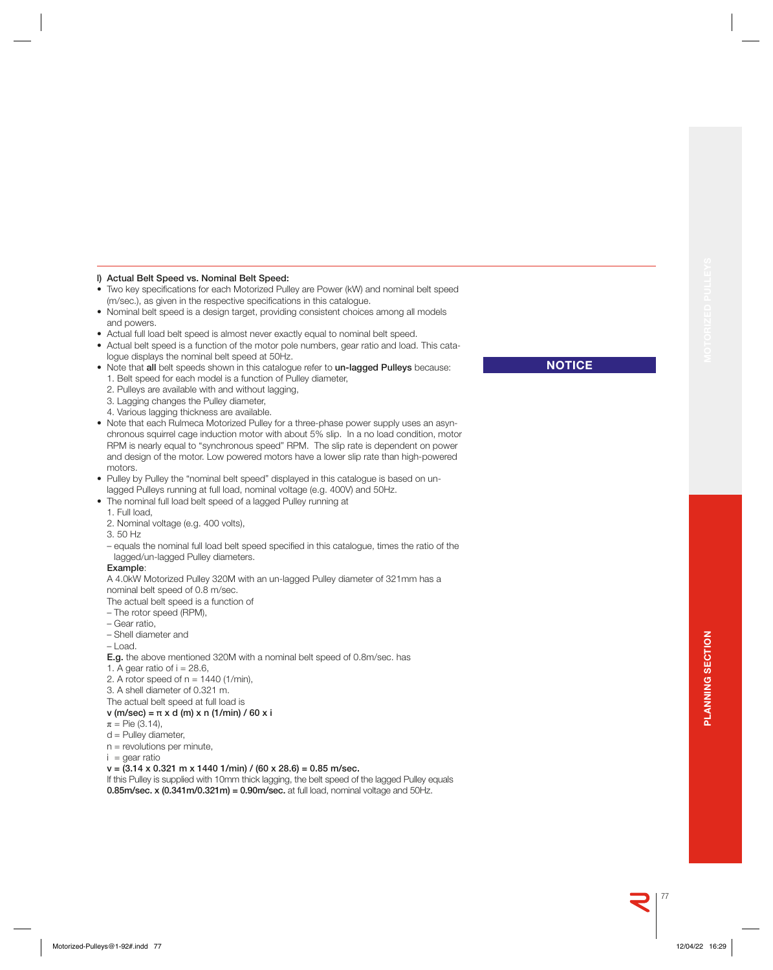### **l) Actual Belt Speed vs. Nominal Belt Speed:**

- Two key specifications for each Motorized Pulley are Power (kW) and nominal belt speed (m/sec.), as given in the respective specifications in this catalogue.
- Nominal belt speed is a design target, providing consistent choices among all models and powers.
- Actual full load belt speed is almost never exactly equal to nominal belt speed.
- Actual belt speed is a function of the motor pole numbers, gear ratio and load. This catalogue displays the nominal belt speed at 50Hz.
- •Note that **all** belt speeds shown in this catalogue refer to **un-lagged Pulleys** because:
	- 1. Belt speed for each model is a function of Pulley diameter,
	- 2. Pulleys are available with and without lagging,
	- 3. Lagging changes the Pulley diameter,
	- 4. Various lagging thickness are available.
- Note that each Rulmeca Motorized Pulley for a three-phase power supply uses an asynchronous squirrel cage induction motor with about 5% slip. In a no load condition, motor RPM is nearly equal to "synchronous speed" RPM. The slip rate is dependent on power and design of the motor. Low powered motors have a lower slip rate than high-powered motors.
- Pulley by Pulley the "nominal belt speed" displayed in this catalogue is based on unlagged Pulleys running at full load, nominal voltage (e.g. 400V) and 50Hz.
- The nominal full load belt speed of a lagged Pulley running at
- 1. Full load,
- 2. Nominal voltage (e.g. 400 volts),
- 3. 50 Hz
- equals the nominal full load belt speed specified in this catalogue, times the ratio of the lagged/un-lagged Pulley diameters.

### **Example**:

 A 4.0kW Motorized Pulley 320M with an un-lagged Pulley diameter of 321mm has a nominal belt speed of 0.8 m/sec.

The actual belt speed is a function of

- The rotor speed (RPM),
- Gear ratio,
- Shell diameter and
- Load.

**E.g.** the above mentioned 320M with a nominal belt speed of 0.8m/sec. has

- 1. A gear ratio of  $i = 28.6$ ,
- 2. A rotor speed of  $n = 1440$  (1/min),
- 3. A shell diameter of 0.321 m.
- The actual belt speed at full load is

### **v (m/sec) = π x d (m) x n (1/min) / 60 x i**

- $\pi$  = Pie (3.14),
- d = Pulley diameter,
- n = revolutions per minute,
- $i =$  qear ratio

### **v = (3.14 x 0.321 m x 1440 1/min) / (60 x 28.6) = 0.85 m/sec.**

 If this Pulley is supplied with 10mm thick lagging, the belt speed of the lagged Pulley equals **0.85m/sec. x (0.341m/0.321m) = 0.90m/sec.** at full load, nominal voltage and 50Hz.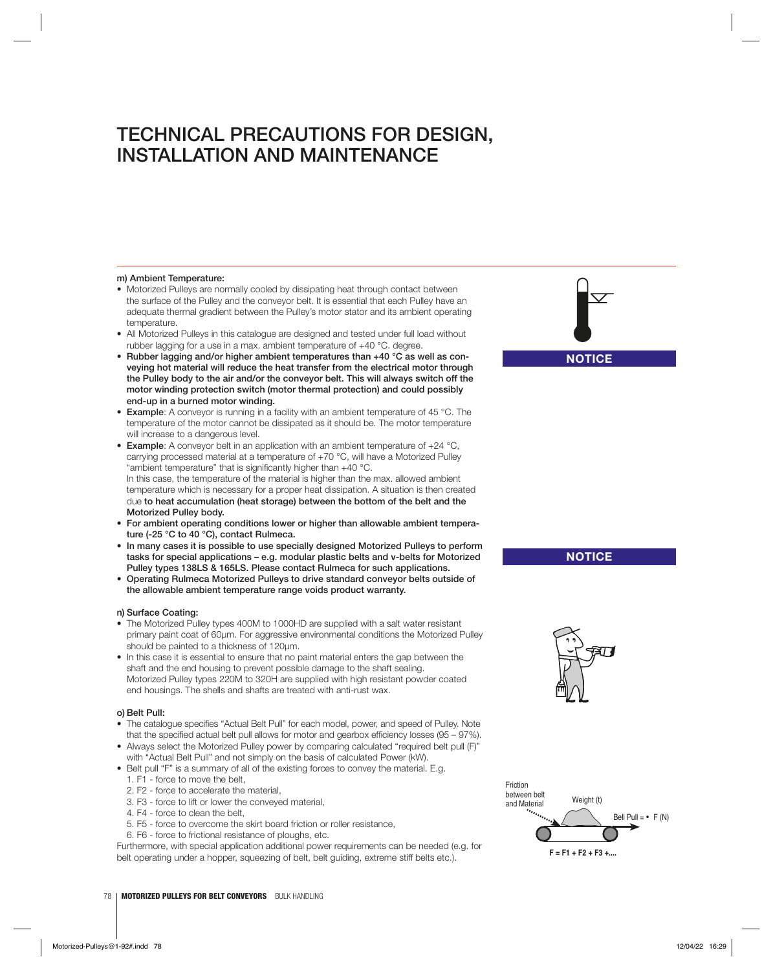### **m) Ambient Temperature:**

- Motorized Pulleys are normally cooled by dissipating heat through contact between the surface of the Pulley and the conveyor belt. It is essential that each Pulley have an adequate thermal gradient between the Pulley's motor stator and its ambient operating temperature.
- All Motorized Pulleys in this catalogue are designed and tested under full load without rubber lagging for a use in a max. ambient temperature of +40 °C. degree.
- **Rubber lagging and/or higher ambient temperatures than +40 °C as well as conveying hot material will reduce the heat transfer from the electrical motor through the Pulley body to the air and/or the conveyor belt. This will always switch off the motor winding protection switch (motor thermal protection) and could possibly end-up in a burned motor winding.**
- **Example**: A conveyor is running in a facility with an ambient temperature of 45 °C. The temperature of the motor cannot be dissipated as it should be. The motor temperature will increase to a dangerous level.
- **Example**: A conveyor belt in an application with an ambient temperature of +24 °C, carrying processed material at a temperature of +70 °C, will have a Motorized Pulley "ambient temperature" that is significantly higher than  $+40$  °C. In this case, the temperature of the material is higher than the max. allowed ambient temperature which is necessary for a proper heat dissipation. A situation is then created due **to heat accumulation (heat storage) between the bottom of the belt and the Motorized Pulley body.**
- **For ambient operating conditions lower or higher than allowable ambient temperature (-25 °C to 40 °C), contact Rulmeca.**
- **In many cases it is possible to use specially designed Motorized Pulleys to perform tasks for special applications – e.g. modular plastic belts and v-belts for Motorized Pulley types 138LS & 165LS. Please contact Rulmeca for such applications.**
- **Operating Rulmeca Motorized Pulleys to drive standard conveyor belts outside of the allowable ambient temperature range voids product warranty.**

### **n) Surface Coating:**

- The Motorized Pulley types 400M to 1000HD are supplied with a salt water resistant primary paint coat of 60μm. For aggressive environmental conditions the Motorized Pulley should be painted to a thickness of 120μm.
- In this case it is essential to ensure that no paint material enters the gap between the shaft and the end housing to prevent possible damage to the shaft sealing. Motorized Pulley types 220M to 320H are supplied with high resistant powder coated end housings. The shells and shafts are treated with anti-rust wax.

### **o) Belt Pull:**

- The catalogue specifies "Actual Belt Pull" for each model, power, and speed of Pulley. Note that the specified actual belt pull allows for motor and gearbox efficiency losses  $(95 - 97\%)$ .
- Always select the Motorized Pulley power by comparing calculated "required belt pull (F)" with "Actual Belt Pull" and not simply on the basis of calculated Power (kW).
- Belt pull "F" is a summary of all of the existing forces to convey the material. E.g. 1. F1 - force to move the belt,
	- 2. F2 force to accelerate the material,
	- 3. F3 force to lift or lower the conveyed material,
	- 4. F4 force to clean the belt,
	- 5. F5 force to overcome the skirt board friction or roller resistance,
	- 6. F6 force to frictional resistance of ploughs, etc.

Furthermore, with special application additional power requirements can be needed (e.g. for belt operating under a hopper, squeezing of belt, belt guiding, extreme stiff belts etc.).





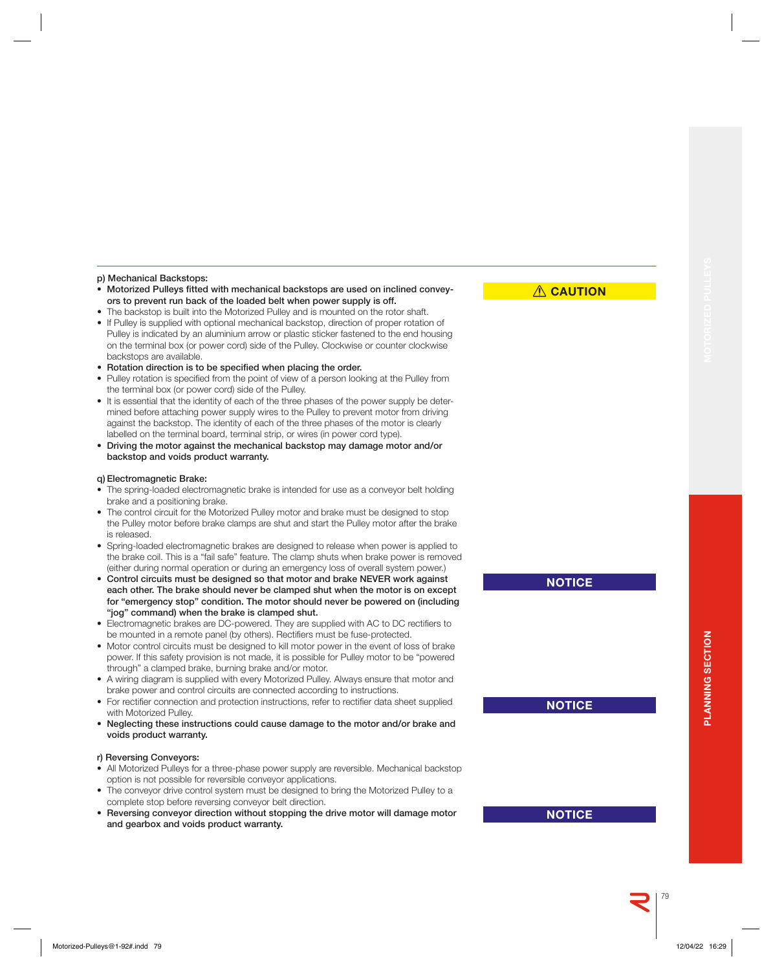### **p) Mechanical Backstops:**

- **Motorized Pulleys fitted with mechanical backstops are used on inclined conveyors to prevent run back of the loaded belt when power supply is off.**
- The backstop is built into the Motorized Pulley and is mounted on the rotor shaft. • If Pulley is supplied with optional mechanical backstop, direction of proper rotation of Pulley is indicated by an aluminium arrow or plastic sticker fastened to the end housing
- on the terminal box (or power cord) side of the Pulley. Clockwise or counter clockwise backstops are available.
- Rotation direction is to be specified when placing the order.
- Pulley rotation is specified from the point of view of a person looking at the Pulley from the terminal box (or power cord) side of the Pulley.
- It is essential that the identity of each of the three phases of the power supply be determined before attaching power supply wires to the Pulley to prevent motor from driving against the backstop. The identity of each of the three phases of the motor is clearly labelled on the terminal board, terminal strip, or wires (in power cord type).
- **Driving the motor against the mechanical backstop may damage motor and/or backstop and voids product warranty.**

### **q) Electromagnetic Brake:**

- The spring-loaded electromagnetic brake is intended for use as a conveyor belt holding brake and a positioning brake.
- The control circuit for the Motorized Pulley motor and brake must be designed to stop the Pulley motor before brake clamps are shut and start the Pulley motor after the brake is released.
- Spring-loaded electromagnetic brakes are designed to release when power is applied to the brake coil. This is a "fail safe" feature. The clamp shuts when brake power is removed (either during normal operation or during an emergency loss of overall system power.)
- **Control circuits must be designed so that motor and brake NEVER work against each other. The brake should never be clamped shut when the motor is on except for "emergency stop" condition. The motor should never be powered on (including "jog" command) when the brake is clamped shut.**
- Electromagnetic brakes are DC-powered. They are supplied with AC to DC rectifiers to be mounted in a remote panel (by others). Rectifiers must be fuse-protected.
- Motor control circuits must be designed to kill motor power in the event of loss of brake power. If this safety provision is not made, it is possible for Pulley motor to be "powered through" a clamped brake, burning brake and/or motor.
- A wiring diagram is supplied with every Motorized Pulley. Always ensure that motor and brake power and control circuits are connected according to instructions.
- For rectifier connection and protection instructions, refer to rectifier data sheet supplied with Motorized Pulley.
- **Neglecting these instructions could cause damage to the motor and/or brake and voids product warranty.**

### **r) Reversing Conveyors:**

- All Motorized Pulleys for a three-phase power supply are reversible. Mechanical backstop option is not possible for reversible conveyor applications.
- The conveyor drive control system must be designed to bring the Motorized Pulley to a complete stop before reversing conveyor belt direction.
- **Reversing conveyor direction without stopping the drive motor will damage motor and gearbox and voids product warranty.**

**ACAUTION** 

**NOTICE**

**NOTICE**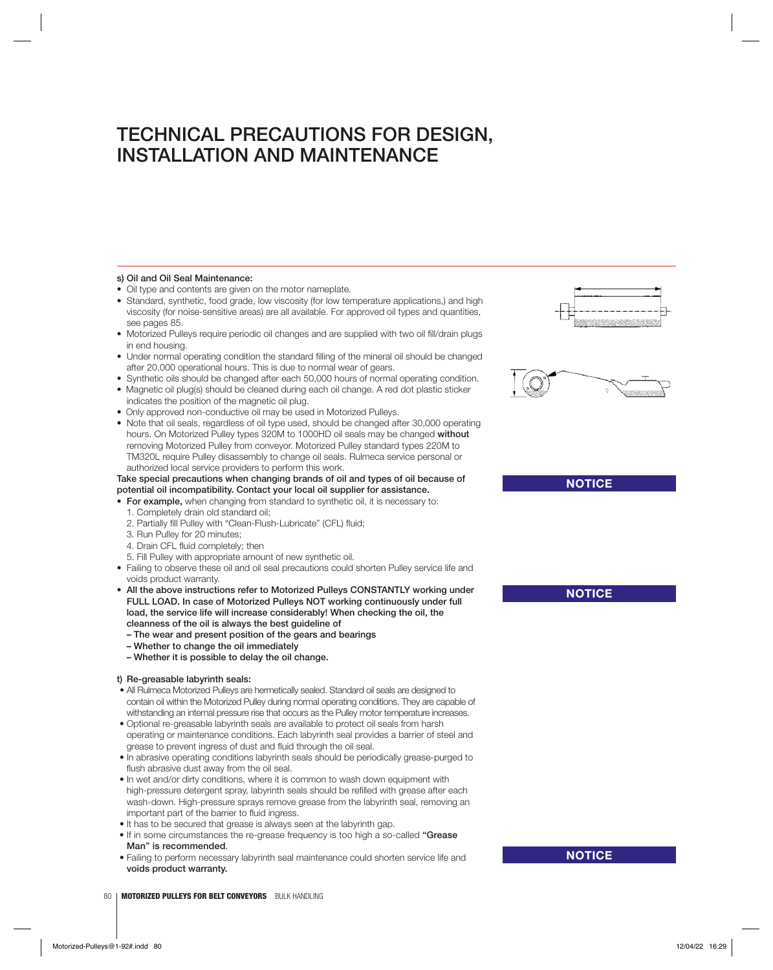### **s) Oil and Oil Seal Maintenance:**

- Oil type and contents are given on the motor nameplate.
- Standard, synthetic, food grade, low viscosity (for low temperature applications,) and high viscosity (for noise-sensitive areas) are all available. For approved oil types and quantities, see pages 85.
- Motorized Pulleys require periodic oil changes and are supplied with two oil fill/drain plugs in end housing.
- Under normal operating condition the standard filling of the mineral oil should be changed after 20,000 operational hours. This is due to normal wear of gears.
- Synthetic oils should be changed after each 50,000 hours of normal operating condition.
- Magnetic oil plug(s) should be cleaned during each oil change. A red dot plastic sticker indicates the position of the magnetic oil plug.
- Only approved non-conductive oil may be used in Motorized Pulleys.
- Note that oil seals, regardless of oil type used, should be changed after 30,000 operating hours. On Motorized Pulley types 320M to 1000HD oil seals may be changed **without** removing Motorized Pulley from conveyor. Motorized Pulley standard types 220M to TM320L require Pulley disassembly to change oil seals. Rulmeca service personal or authorized local service providers to perform this work.
- **Take special precautions when changing brands of oil and types of oil because of potential oil incompatibility. Contact your local oil supplier for assistance.**
- **For example,** when changing from standard to synthetic oil, it is necessary to: 1. Completely drain old standard oil;
	- 2. Partially fill Pulley with "Clean-Flush-Lubricate" (CFL) fluid:
	- 3. Run Pulley for 20 minutes;
	- 4. Drain CFL fluid completely; then
	- 5. Fill Pulley with appropriate amount of new synthetic oil.
- Failing to observe these oil and oil seal precautions could shorten Pulley service life and voids product warranty.
- **All the above instructions refer to Motorized Pulleys CONSTANTLY working under FULL LOAD. In case of Motorized Pulleys NOT working continuously under full load, the service life will increase considerably! When checking the oil, the cleanness of the oil is always the best guideline of**
	- **The wear and present position of the gears and bearings**
	- **Whether to change the oil immediately**
	- **Whether it is possible to delay the oil change.**

#### **t) Re-greasable labyrinth seals:**

- All Rulmeca Motorized Pulleys are hermetically sealed. Standard oil seals are designed to contain oil within the Motorized Pulley during normal operating conditions. They are capable of withstanding an internal pressure rise that occurs as the Pulley motor temperature increases.
- Optional re-greasable labyrinth seals are available to protect oil seals from harsh operating or maintenance conditions. Each labyrinth seal provides a barrier of steel and grease to prevent ingress of dust and fluid through the oil seal.
- In abrasive operating conditions labyrinth seals should be periodically grease-purged to flush abrasive dust away from the oil seal.
- In wet and/or dirty conditions, where it is common to wash down equipment with high-pressure detergent spray, labyrinth seals should be refilled with grease after each wash-down. High-pressure sprays remove grease from the labyrinth seal, removing an important part of the barrier to fluid ingress.
- It has to be secured that grease is always seen at the labyrinth gap.
- If in some circumstances the re-grease frequency is too high a so-called **"Grease Man" is recommended**.
- Failing to perform necessary labyrinth seal maintenance could shorten service life and **voids product warranty.**





**NOTICE**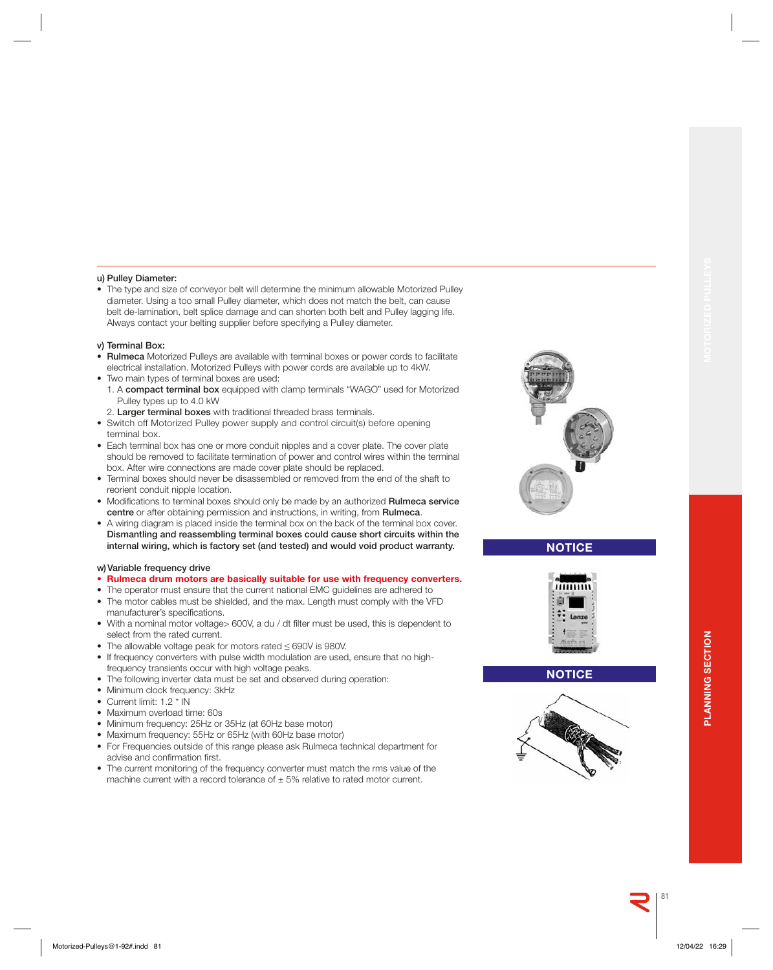### **u) Pulley Diameter:**

• The type and size of conveyor belt will determine the minimum allowable Motorized Pulley diameter. Using a too small Pulley diameter, which does not match the belt, can cause belt de-lamination, belt splice damage and can shorten both belt and Pulley lagging life. Always contact your belting supplier before specifying a Pulley diameter.

#### **v) Terminal Box:**

- **Rulmeca** Motorized Pulleys are available with terminal boxes or power cords to facilitate electrical installation. Motorized Pulleys with power cords are available up to 4kW.
- Two main types of terminal boxes are used:
	- 1. A **compact terminal box** equipped with clamp terminals "WAGO" used for Motorized Pulley types up to 4.0 kW
	- 2. **Larger terminal boxes** with traditional threaded brass terminals.
- Switch off Motorized Pulley power supply and control circuit(s) before opening terminal box.
- Each terminal box has one or more conduit nipples and a cover plate. The cover plate should be removed to facilitate termination of power and control wires within the terminal box. After wire connections are made cover plate should be replaced.
- Terminal boxes should never be disassembled or removed from the end of the shaft to reorient conduit nipple location.
- Modifications to terminal boxes should only be made by an authorized Rulmeca service **centre** or after obtaining permission and instructions, in writing, from **Rulmeca**.
- A wiring diagram is placed inside the terminal box on the back of the terminal box cover.  **Dismantling and reassembling terminal boxes could cause short circuits within the internal wiring, which is factory set (and tested) and would void product warranty.**

### **w) Variable frequency drive**

- **Rulmeca drum motors are basically suitable for use with frequency converters.**
- The operator must ensure that the current national EMC guidelines are adhered to • The motor cables must be shielded, and the max. Length must comply with the VFD manufacturer's specifications.
- With a nominal motor voltage> 600V, a du / dt filter must be used, this is dependent to select from the rated current.
- The allowable voltage peak for motors rated ≤ 690V is 980V.
- If frequency converters with pulse width modulation are used, ensure that no highfrequency transients occur with high voltage peaks.
- The following inverter data must be set and observed during operation:
- Minimum clock frequency: 3kHz
- Current limit: 1.2 \* IN
- Maximum overload time: 60s
- Minimum frequency: 25Hz or 35Hz (at 60Hz base motor)
- Maximum frequency: 55Hz or 65Hz (with 60Hz base motor)
- For Frequencies outside of this range please ask Rulmeca technical department for advise and confirmation first.
- The current monitoring of the frequency converter must match the rms value of the machine current with a record tolerance of  $\pm$  5% relative to rated motor current.



### **NOTICE**



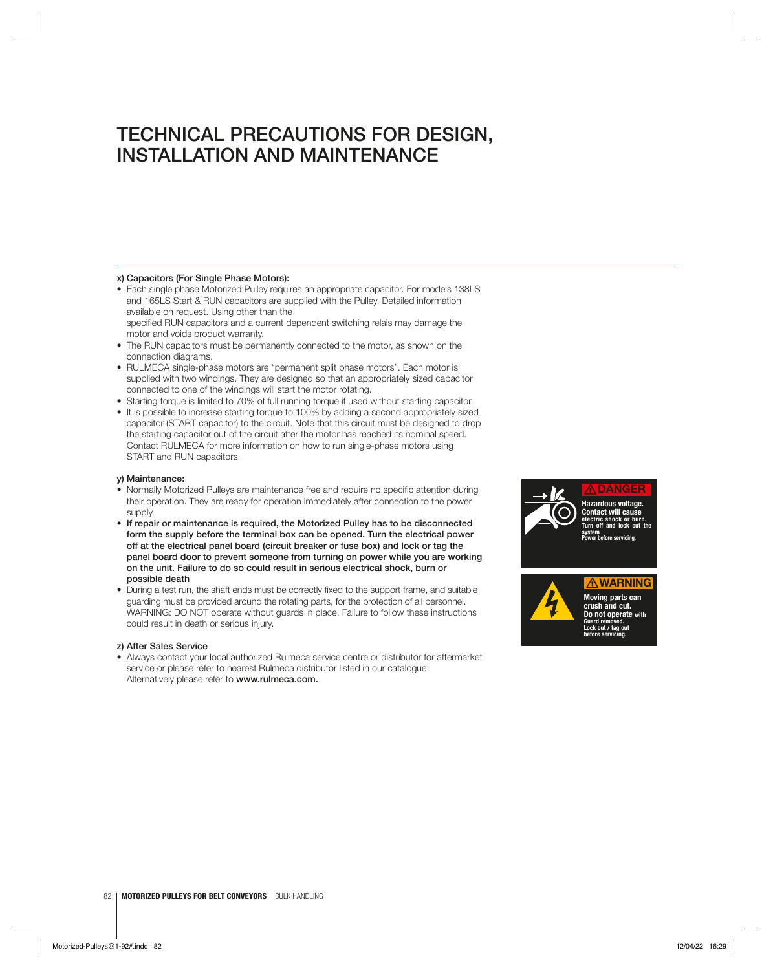### **x) Capacitors (For Single Phase Motors):**

- Each single phase Motorized Pulley requires an appropriate capacitor. For models 138LS and 165LS Start & RUN capacitors are supplied with the Pulley. Detailed information available on request. Using other than the specified RUN capacitors and a current dependent switching relais may damage the motor and voids product warranty.
- The RUN capacitors must be permanently connected to the motor, as shown on the connection diagrams.
- RULMECA single-phase motors are "permanent split phase motors". Each motor is supplied with two windings. They are designed so that an appropriately sized capacitor connected to one of the windings will start the motor rotating.
- Starting torque is limited to 70% of full running torque if used without starting capacitor.
- It is possible to increase starting torque to 100% by adding a second appropriately sized capacitor (START capacitor) to the circuit. Note that this circuit must be designed to drop the starting capacitor out of the circuit after the motor has reached its nominal speed. Contact RULMECA for more information on how to run single-phase motors using START and RUN capacitors.

### **y) Maintenance:**

- Normally Motorized Pulleys are maintenance free and require no specific attention during their operation. They are ready for operation immediately after connection to the power supply.
- **If repair or maintenance is required, the Motorized Pulley has to be disconnected form the supply before the terminal box can be opened. Turn the electrical power off at the electrical panel board (circuit breaker or fuse box) and lock or tag the panel board door to prevent someone from turning on power while you are working on the unit. Failure to do so could result in serious electrical shock, burn or possible death**
- During a test run, the shaft ends must be correctly fixed to the support frame, and suitable guarding must be provided around the rotating parts, for the protection of all personnel. WARNING: DO NOT operate without guards in place. Failure to follow these instructions could result in death or serious injury.

#### **z) After Sales Service**

• Always contact your local authorized Rulmeca service centre or distributor for aftermarket service or please refer to nearest Rulmeca distributor listed in our catalogue. Alternatively please refer to **www.rulmeca.com.**





**Moving parts can crush and cut. Do not operate with Guard removed. Lock out / tag out before servicing.**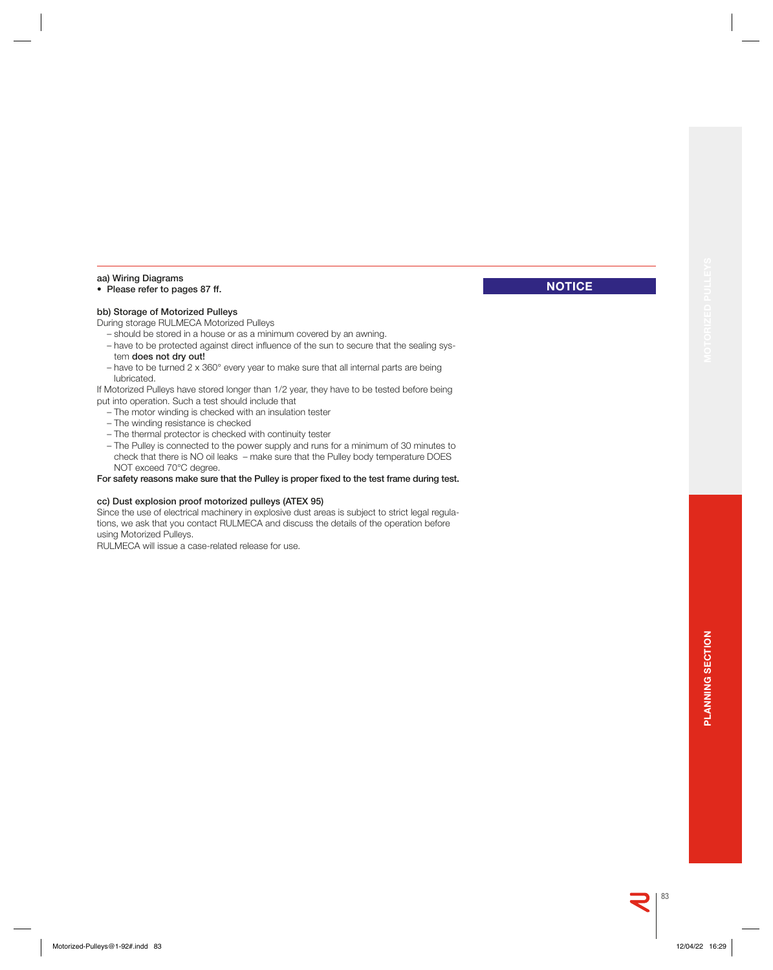**NOTICE**

### **aa) Wiring Diagrams**

### **• Please refer to pages 87 ff.**

### **bb) Storage of Motorized Pulleys**

During storage RULMECA Motorized Pulleys

- should be stored in a house or as a minimum covered by an awning.
- have to be protected against direct influence of the sun to secure that the sealing system **does not dry out!**
- have to be turned 2 x 360° every year to make sure that all internal parts are being lubricated.

If Motorized Pulleys have stored longer than 1/2 year, they have to be tested before being put into operation. Such a test should include that

- The motor winding is checked with an insulation tester
- The winding resistance is checked
- The thermal protector is checked with continuity tester
- The Pulley is connected to the power supply and runs for a minimum of 30 minutes to check that there is NO oil leaks – make sure that the Pulley body temperature DOES NOT exceed 70°C degree.

For safety reasons make sure that the Pulley is proper fixed to the test frame during test.

### **cc) Dust explosion proof motorized pulleys (ATEX 95)**

Since the use of electrical machinery in explosive dust areas is subject to strict legal regulations, we ask that you contact RULMECA and discuss the details of the operation before using Motorized Pulleys.

RULMECA will issue a case-related release for use.